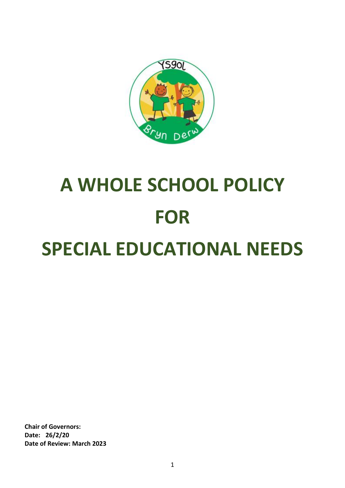

# **A WHOLE SCHOOL POLICY FOR SPECIAL EDUCATIONAL NEEDS**

**Chair of Governors: Date: 26/2/20 Date of Review: March 2023**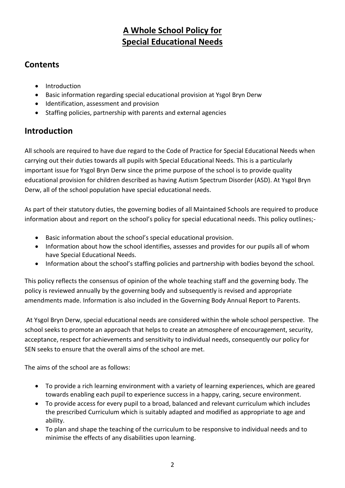# **A Whole School Policy for Special Educational Needs**

## **Contents**

- Introduction
- Basic information regarding special educational provision at Ysgol Bryn Derw
- Identification, assessment and provision
- Staffing policies, partnership with parents and external agencies

# **Introduction**

All schools are required to have due regard to the Code of Practice for Special Educational Needs when carrying out their duties towards all pupils with Special Educational Needs. This is a particularly important issue for Ysgol Bryn Derw since the prime purpose of the school is to provide quality educational provision for children described as having Autism Spectrum Disorder (ASD). At Ysgol Bryn Derw, all of the school population have special educational needs.

As part of their statutory duties, the governing bodies of all Maintained Schools are required to produce information about and report on the school's policy for special educational needs. This policy outlines;-

- Basic information about the school's special educational provision.
- Information about how the school identifies, assesses and provides for our pupils all of whom have Special Educational Needs.
- Information about the school's staffing policies and partnership with bodies beyond the school.

This policy reflects the consensus of opinion of the whole teaching staff and the governing body. The policy is reviewed annually by the governing body and subsequently is revised and appropriate amendments made. Information is also included in the Governing Body Annual Report to Parents.

At Ysgol Bryn Derw, special educational needs are considered within the whole school perspective. The school seeks to promote an approach that helps to create an atmosphere of encouragement, security, acceptance, respect for achievements and sensitivity to individual needs, consequently our policy for SEN seeks to ensure that the overall aims of the school are met.

The aims of the school are as follows:

- To provide a rich learning environment with a variety of learning experiences, which are geared towards enabling each pupil to experience success in a happy, caring, secure environment.
- To provide access for every pupil to a broad, balanced and relevant curriculum which includes the prescribed Curriculum which is suitably adapted and modified as appropriate to age and ability.
- To plan and shape the teaching of the curriculum to be responsive to individual needs and to minimise the effects of any disabilities upon learning.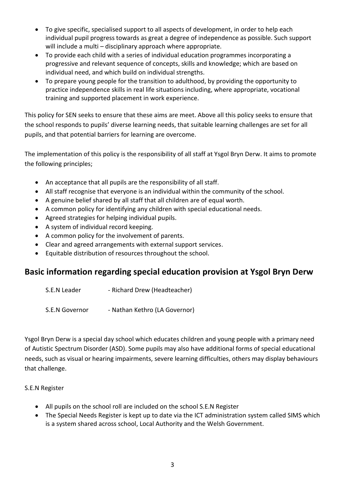- To give specific, specialised support to all aspects of development, in order to help each individual pupil progress towards as great a degree of independence as possible. Such support will include a multi – disciplinary approach where appropriate.
- To provide each child with a series of individual education programmes incorporating a progressive and relevant sequence of concepts, skills and knowledge; which are based on individual need, and which build on individual strengths.
- To prepare young people for the transition to adulthood, by providing the opportunity to practice independence skills in real life situations including, where appropriate, vocational training and supported placement in work experience.

This policy for SEN seeks to ensure that these aims are meet. Above all this policy seeks to ensure that the school responds to pupils' diverse learning needs, that suitable learning challenges are set for all pupils, and that potential barriers for learning are overcome.

The implementation of this policy is the responsibility of all staff at Ysgol Bryn Derw. It aims to promote the following principles;

- An acceptance that all pupils are the responsibility of all staff.
- All staff recognise that everyone is an individual within the community of the school.
- A genuine belief shared by all staff that all children are of equal worth.
- A common policy for identifying any children with special educational needs.
- Agreed strategies for helping individual pupils.
- A system of individual record keeping.
- A common policy for the involvement of parents.
- Clear and agreed arrangements with external support services.
- Equitable distribution of resources throughout the school.

## **Basic information regarding special education provision at Ysgol Bryn Derw**

- S.E.N Leader Richard Drew (Headteacher)
- S.E.N Governor Nathan Kethro (LA Governor)

Ysgol Bryn Derw is a special day school which educates children and young people with a primary need of Autistic Spectrum Disorder (ASD). Some pupils may also have additional forms of special educational needs, such as visual or hearing impairments, severe learning difficulties, others may display behaviours that challenge.

#### S.E.N Register

- All pupils on the school roll are included on the school S.E.N Register
- The Special Needs Register is kept up to date via the ICT administration system called SIMS which is a system shared across school, Local Authority and the Welsh Government.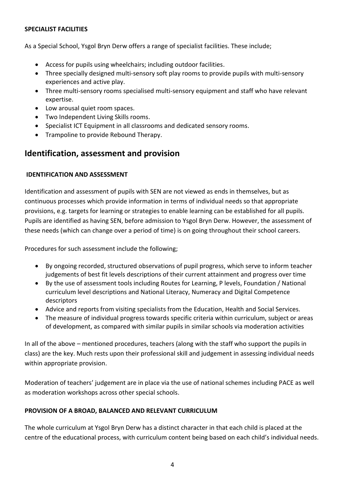#### **SPECIALIST FACILITIES**

As a Special School, Ysgol Bryn Derw offers a range of specialist facilities. These include;

- Access for pupils using wheelchairs; including outdoor facilities.
- Three specially designed multi-sensory soft play rooms to provide pupils with multi-sensory experiences and active play.
- Three multi-sensory rooms specialised multi-sensory equipment and staff who have relevant expertise.
- Low arousal quiet room spaces.
- Two Independent Living Skills rooms.
- Specialist ICT Equipment in all classrooms and dedicated sensory rooms.
- Trampoline to provide Rebound Therapy.

## **Identification, assessment and provision**

#### **IDENTIFICATION AND ASSESSMENT**

Identification and assessment of pupils with SEN are not viewed as ends in themselves, but as continuous processes which provide information in terms of individual needs so that appropriate provisions, e.g. targets for learning or strategies to enable learning can be established for all pupils. Pupils are identified as having SEN, before admission to Ysgol Bryn Derw. However, the assessment of these needs (which can change over a period of time) is on going throughout their school careers.

Procedures for such assessment include the following;

- By ongoing recorded, structured observations of pupil progress, which serve to inform teacher judgements of best fit levels descriptions of their current attainment and progress over time
- By the use of assessment tools including Routes for Learning, P levels, Foundation / National curriculum level descriptions and National Literacy, Numeracy and Digital Competence descriptors
- Advice and reports from visiting specialists from the Education, Health and Social Services.
- The measure of individual progress towards specific criteria within curriculum, subject or areas of development, as compared with similar pupils in similar schools via moderation activities

In all of the above – mentioned procedures, teachers (along with the staff who support the pupils in class) are the key. Much rests upon their professional skill and judgement in assessing individual needs within appropriate provision.

Moderation of teachers' judgement are in place via the use of national schemes including PACE as well as moderation workshops across other special schools.

#### **PROVISION OF A BROAD, BALANCED AND RELEVANT CURRICULUM**

The whole curriculum at Ysgol Bryn Derw has a distinct character in that each child is placed at the centre of the educational process, with curriculum content being based on each child's individual needs.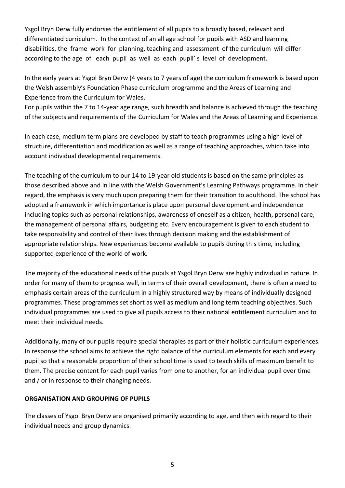Ysgol Bryn Derw fully endorses the entitlement of all pupils to a broadly based, relevant and differentiated curriculum. In the context of an all age school for pupils with ASD and learning disabilities, the frame work for planning, teaching and assessment of the curriculum will differ according to the age of each pupil as well as each pupil' s level of development.

In the early years at Ysgol Bryn Derw (4 years to 7 years of age) the curriculum framework is based upon the Welsh assembly's Foundation Phase curriculum programme and the Areas of Learning and Experience from the Curriculum for Wales.

For pupils within the 7 to 14-year age range, such breadth and balance is achieved through the teaching of the subjects and requirements of the Curriculum for Wales and the Areas of Learning and Experience.

In each case, medium term plans are developed by staff to teach programmes using a high level of structure, differentiation and modification as well as a range of teaching approaches, which take into account individual developmental requirements.

The teaching of the curriculum to our 14 to 19-year old students is based on the same principles as those described above and in line with the Welsh Government's Learning Pathways programme. In their regard, the emphasis is very much upon preparing them for their transition to adulthood. The school has adopted a framework in which importance is place upon personal development and independence including topics such as personal relationships, awareness of oneself as a citizen, health, personal care, the management of personal affairs, budgeting etc. Every encouragement is given to each student to take responsibility and control of their lives through decision making and the establishment of appropriate relationships. New experiences become available to pupils during this time, including supported experience of the world of work.

The majority of the educational needs of the pupils at Ysgol Bryn Derw are highly individual in nature. In order for many of them to progress well, in terms of their overall development, there is often a need to emphasis certain areas of the curriculum in a highly structured way by means of individually designed programmes. These programmes set short as well as medium and long term teaching objectives. Such individual programmes are used to give all pupils access to their national entitlement curriculum and to meet their individual needs.

Additionally, many of our pupils require special therapies as part of their holistic curriculum experiences. In response the school aims to achieve the right balance of the curriculum elements for each and every pupil so that a reasonable proportion of their school time is used to teach skills of maximum benefit to them. The precise content for each pupil varies from one to another, for an individual pupil over time and / or in response to their changing needs.

#### **ORGANISATION AND GROUPING OF PUPILS**

The classes of Ysgol Bryn Derw are organised primarily according to age, and then with regard to their individual needs and group dynamics.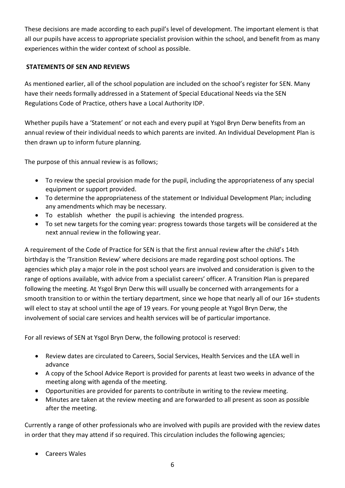These decisions are made according to each pupil's level of development. The important element is that all our pupils have access to appropriate specialist provision within the school, and benefit from as many experiences within the wider context of school as possible.

#### **STATEMENTS OF SEN AND REVIEWS**

As mentioned earlier, all of the school population are included on the school's register for SEN. Many have their needs formally addressed in a Statement of Special Educational Needs via the SEN Regulations Code of Practice, others have a Local Authority IDP.

Whether pupils have a 'Statement' or not each and every pupil at Ysgol Bryn Derw benefits from an annual review of their individual needs to which parents are invited. An Individual Development Plan is then drawn up to inform future planning.

The purpose of this annual review is as follows;

- To review the special provision made for the pupil, including the appropriateness of any special equipment or support provided.
- To determine the appropriateness of the statement or Individual Development Plan; including any amendments which may be necessary.
- To establish whether the pupil is achieving the intended progress.
- To set new targets for the coming year: progress towards those targets will be considered at the next annual review in the following year.

A requirement of the Code of Practice for SEN is that the first annual review after the child's 14th birthday is the 'Transition Review' where decisions are made regarding post school options. The agencies which play a major role in the post school years are involved and consideration is given to the range of options available, with advice from a specialist careers' officer. A Transition Plan is prepared following the meeting. At Ysgol Bryn Derw this will usually be concerned with arrangements for a smooth transition to or within the tertiary department, since we hope that nearly all of our 16+ students will elect to stay at school until the age of 19 years. For young people at Ysgol Bryn Derw, the involvement of social care services and health services will be of particular importance.

For all reviews of SEN at Ysgol Bryn Derw, the following protocol is reserved:

- Review dates are circulated to Careers, Social Services, Health Services and the LEA well in advance
- A copy of the School Advice Report is provided for parents at least two weeks in advance of the meeting along with agenda of the meeting.
- Opportunities are provided for parents to contribute in writing to the review meeting.
- Minutes are taken at the review meeting and are forwarded to all present as soon as possible after the meeting.

Currently a range of other professionals who are involved with pupils are provided with the review dates in order that they may attend if so required. This circulation includes the following agencies;

Careers Wales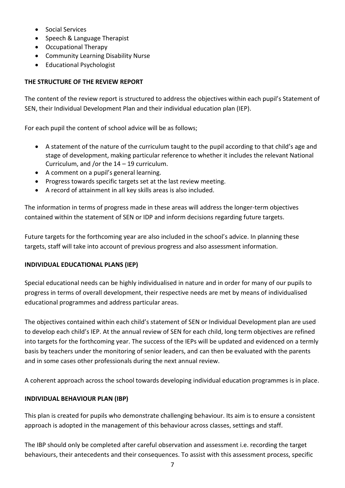- Social Services
- Speech & Language Therapist
- Occupational Therapy
- Community Learning Disability Nurse
- Educational Psychologist

#### **THE STRUCTURE OF THE REVIEW REPORT**

The content of the review report is structured to address the objectives within each pupil's Statement of SEN, their Individual Development Plan and their individual education plan (IEP).

For each pupil the content of school advice will be as follows;

- A statement of the nature of the curriculum taught to the pupil according to that child's age and stage of development, making particular reference to whether it includes the relevant National Curriculum, and /or the 14 – 19 curriculum.
- A comment on a pupil's general learning.
- Progress towards specific targets set at the last review meeting.
- A record of attainment in all key skills areas is also included.

The information in terms of progress made in these areas will address the longer-term objectives contained within the statement of SEN or IDP and inform decisions regarding future targets.

Future targets for the forthcoming year are also included in the school's advice. In planning these targets, staff will take into account of previous progress and also assessment information.

#### **INDIVIDUAL EDUCATIONAL PLANS (IEP)**

Special educational needs can be highly individualised in nature and in order for many of our pupils to progress in terms of overall development, their respective needs are met by means of individualised educational programmes and address particular areas.

The objectives contained within each child's statement of SEN or Individual Development plan are used to develop each child's IEP. At the annual review of SEN for each child, long term objectives are refined into targets for the forthcoming year. The success of the IEPs will be updated and evidenced on a termly basis by teachers under the monitoring of senior leaders, and can then be evaluated with the parents and in some cases other professionals during the next annual review.

A coherent approach across the school towards developing individual education programmes is in place.

#### **INDIVIDUAL BEHAVIOUR PLAN (IBP)**

This plan is created for pupils who demonstrate challenging behaviour. Its aim is to ensure a consistent approach is adopted in the management of this behaviour across classes, settings and staff.

The IBP should only be completed after careful observation and assessment i.e. recording the target behaviours, their antecedents and their consequences. To assist with this assessment process, specific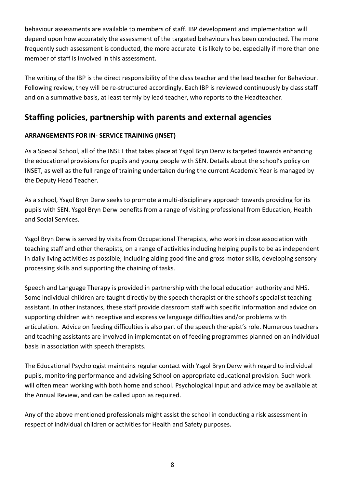behaviour assessments are available to members of staff. IBP development and implementation will depend upon how accurately the assessment of the targeted behaviours has been conducted. The more frequently such assessment is conducted, the more accurate it is likely to be, especially if more than one member of staff is involved in this assessment.

The writing of the IBP is the direct responsibility of the class teacher and the lead teacher for Behaviour. Following review, they will be re-structured accordingly. Each IBP is reviewed continuously by class staff and on a summative basis, at least termly by lead teacher, who reports to the Headteacher.

## **Staffing policies, partnership with parents and external agencies**

### **ARRANGEMENTS FOR IN- SERVICE TRAINING (INSET)**

As a Special School, all of the INSET that takes place at Ysgol Bryn Derw is targeted towards enhancing the educational provisions for pupils and young people with SEN. Details about the school's policy on INSET, as well as the full range of training undertaken during the current Academic Year is managed by the Deputy Head Teacher.

As a school, Ysgol Bryn Derw seeks to promote a multi-disciplinary approach towards providing for its pupils with SEN. Ysgol Bryn Derw benefits from a range of visiting professional from Education, Health and Social Services.

Ysgol Bryn Derw is served by visits from Occupational Therapists, who work in close association with teaching staff and other therapists, on a range of activities including helping pupils to be as independent in daily living activities as possible; including aiding good fine and gross motor skills, developing sensory processing skills and supporting the chaining of tasks.

Speech and Language Therapy is provided in partnership with the local education authority and NHS. Some individual children are taught directly by the speech therapist or the school's specialist teaching assistant. In other instances, these staff provide classroom staff with specific information and advice on supporting children with receptive and expressive language difficulties and/or problems with articulation. Advice on feeding difficulties is also part of the speech therapist's role. Numerous teachers and teaching assistants are involved in implementation of feeding programmes planned on an individual basis in association with speech therapists.

The Educational Psychologist maintains regular contact with Ysgol Bryn Derw with regard to individual pupils, monitoring performance and advising School on appropriate educational provision. Such work will often mean working with both home and school. Psychological input and advice may be available at the Annual Review, and can be called upon as required.

Any of the above mentioned professionals might assist the school in conducting a risk assessment in respect of individual children or activities for Health and Safety purposes.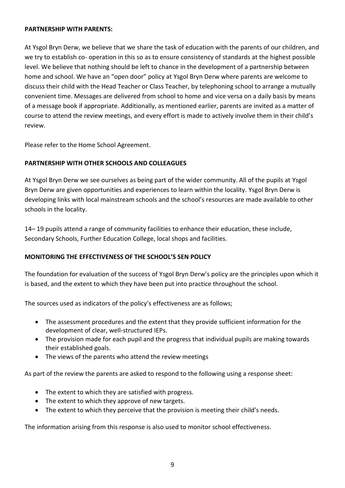#### **PARTNERSHIP WITH PARENTS:**

At Ysgol Bryn Derw, we believe that we share the task of education with the parents of our children, and we try to establish co- operation in this so as to ensure consistency of standards at the highest possible level. We believe that nothing should be left to chance in the development of a partnership between home and school. We have an "open door" policy at Ysgol Bryn Derw where parents are welcome to discuss their child with the Head Teacher or Class Teacher, by telephoning school to arrange a mutually convenient time. Messages are delivered from school to home and vice versa on a daily basis by means of a message book if appropriate. Additionally, as mentioned earlier, parents are invited as a matter of course to attend the review meetings, and every effort is made to actively involve them in their child's review.

Please refer to the Home School Agreement.

#### **PARTNERSHIP WITH OTHER SCHOOLS AND COLLEAGUES**

At Ysgol Bryn Derw we see ourselves as being part of the wider community. All of the pupils at Ysgol Bryn Derw are given opportunities and experiences to learn within the locality. Ysgol Bryn Derw is developing links with local mainstream schools and the school's resources are made available to other schools in the locality.

14– 19 pupils attend a range of community facilities to enhance their education, these include, Secondary Schools, Further Education College, local shops and facilities.

#### **MONITORING THE EFFECTIVENESS OF THE SCHOOL'S SEN POLICY**

The foundation for evaluation of the success of Ysgol Bryn Derw's policy are the principles upon which it is based, and the extent to which they have been put into practice throughout the school.

The sources used as indicators of the policy's effectiveness are as follows;

- The assessment procedures and the extent that they provide sufficient information for the development of clear, well-structured IEPs.
- The provision made for each pupil and the progress that individual pupils are making towards their established goals.
- The views of the parents who attend the review meetings

As part of the review the parents are asked to respond to the following using a response sheet:

- The extent to which they are satisfied with progress.
- The extent to which they approve of new targets.
- The extent to which they perceive that the provision is meeting their child's needs.

The information arising from this response is also used to monitor school effectiveness.